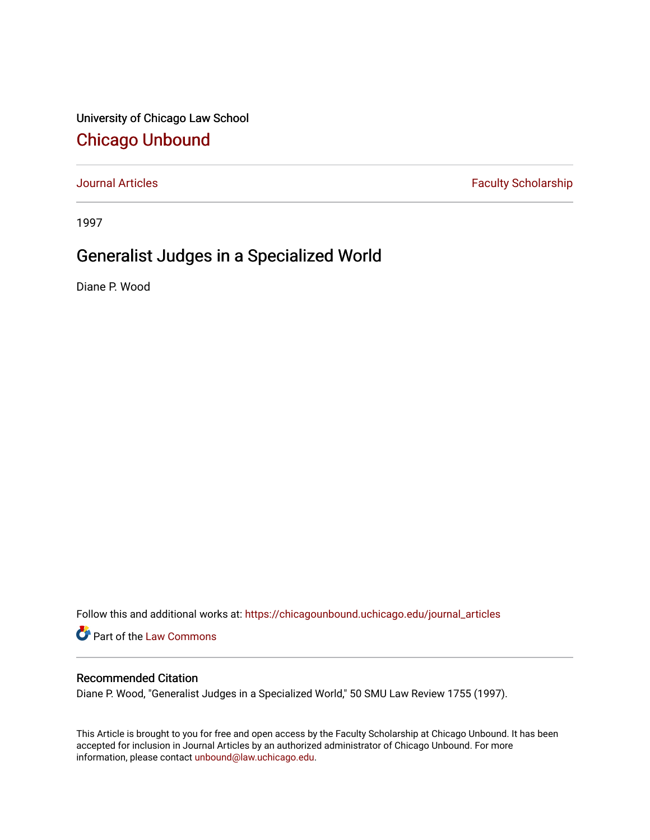University of Chicago Law School [Chicago Unbound](https://chicagounbound.uchicago.edu/)

[Journal Articles](https://chicagounbound.uchicago.edu/journal_articles) **Faculty Scholarship Faculty Scholarship** 

1997

# Generalist Judges in a Specialized World

Diane P. Wood

Follow this and additional works at: [https://chicagounbound.uchicago.edu/journal\\_articles](https://chicagounbound.uchicago.edu/journal_articles?utm_source=chicagounbound.uchicago.edu%2Fjournal_articles%2F2048&utm_medium=PDF&utm_campaign=PDFCoverPages) 

Part of the [Law Commons](http://network.bepress.com/hgg/discipline/578?utm_source=chicagounbound.uchicago.edu%2Fjournal_articles%2F2048&utm_medium=PDF&utm_campaign=PDFCoverPages)

# Recommended Citation

Diane P. Wood, "Generalist Judges in a Specialized World," 50 SMU Law Review 1755 (1997).

This Article is brought to you for free and open access by the Faculty Scholarship at Chicago Unbound. It has been accepted for inclusion in Journal Articles by an authorized administrator of Chicago Unbound. For more information, please contact [unbound@law.uchicago.edu](mailto:unbound@law.uchicago.edu).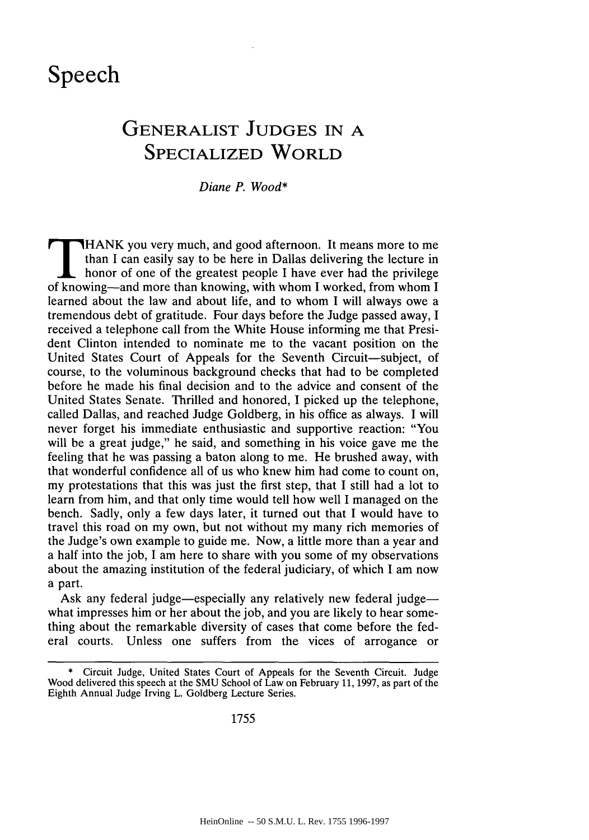# **Speech**

# **GENERALIST JUDGES IN A SPECIALIZED WORLD**

*Diane P. Wood\**

than I can easily say to be here in Dallas delivering the lecture in honor of one of the greatest people I have ever had the privilege of knowing-and more than knowing, with whom I worked, from whom I learned about the law and about life, and to whom I will always owe a tremendous debt of gratitude. Four days before the Judge passed away, I received a telephone call from the White House informing me that President Clinton intended to nominate me to the vacant position on the United States Court of Appeals for the Seventh Circuit-subject, of course, to the voluminous background checks that had to be completed before he made his final decision and to the advice and consent of the United States Senate. Thrilled and honored, I picked up the telephone, called Dallas, and reached Judge Goldberg, in his office as always. I will never forget his immediate enthusiastic and supportive reaction: "You will be a great judge," he said, and something in his voice gave me the feeling that he was passing a baton along to me. He brushed away, with that wonderful confidence all of us who knew him had come to count on, my protestations that this was just the first step, that I still had a lot to learn from him, and that only time would tell how well I managed on the bench. Sadly, only a few days later, it turned out that I would have to travel this road on my own, but not without my many rich memories of the Judge's own example to guide me. Now, a little more than a year and a half into the job, I am here to share with you some of my observations about the amazing institution of the federal judiciary, of which I am now a part.

Ask any federal judge-especially any relatively new federal judgewhat impresses him or her about the job, and you are likely to hear something about the remarkable diversity of cases that come before the federal courts. Unless one suffers from the vices of arrogance or

**<sup>\*</sup>** Circuit Judge, United States Court of Appeals for the Seventh Circuit. Judge Wood delivered this speech at the SMU School of Law on February 11, 1997, as part of the Eighth Annual Judge Irving L. Goldberg Lecture Series.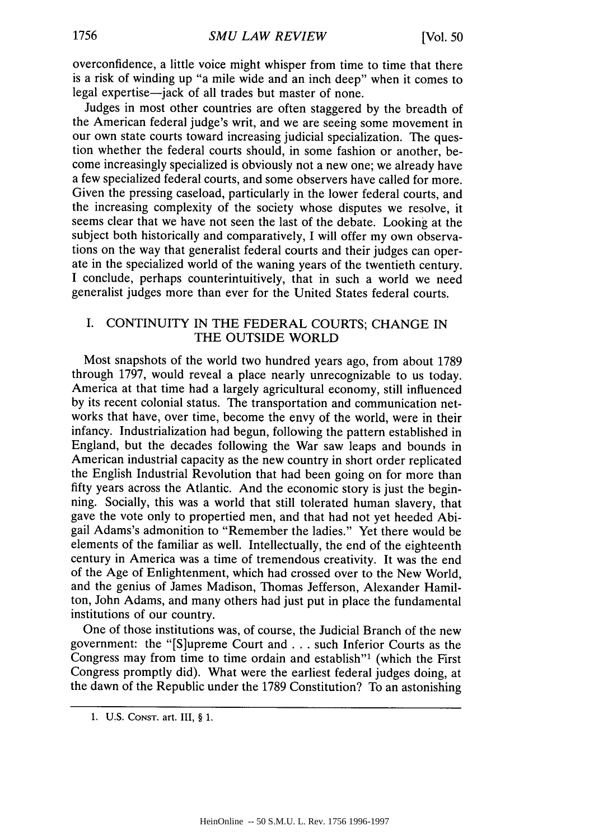overconfidence, a little voice might whisper from time to time that there is a risk of winding up "a mile wide and an inch deep" when it comes to legal expertise—jack of all trades but master of none.

Judges in most other countries are often staggered by the breadth of the American federal judge's writ, and we are seeing some movement in our own state courts toward increasing judicial specialization. The question whether the federal courts should, in some fashion or another, become increasingly specialized is obviously not a new one; we already have a few specialized federal courts, and some observers have called for more. Given the pressing caseload, particularly in the lower federal courts, and the increasing complexity of the society whose disputes we resolve, it seems clear that we have not seen the last of the debate. Looking at the subject both historically and comparatively, I will offer my own observations on the way that generalist federal courts and their judges can operate in the specialized world of the waning years of the twentieth century. I conclude, perhaps counterintuitively, that in such a world we need generalist judges more than ever for the United States federal courts.

# I. CONTINUITY IN THE FEDERAL COURTS; CHANGE IN THE OUTSIDE WORLD

Most snapshots of the world two hundred years ago, from about 1789 through 1797, would reveal a place nearly unrecognizable to us today. America at that time had a largely agricultural economy, still influenced by its recent colonial status. The transportation and communication networks that have, over time, become the envy of the world, were in their infancy. Industrialization had begun, following the pattern established in England, but the decades following the War saw leaps and bounds in American industrial capacity as the new country in short order replicated the English Industrial Revolution that had been going on for more than fifty years across the Atlantic. And the economic story is just the beginning. Socially, this was a world that still tolerated human slavery, that gave the vote only to propertied men, and that had not yet heeded Abigail Adams's admonition to "Remember the ladies." Yet there would be elements of the familiar as well. Intellectually, the end of the eighteenth century in America was a time of tremendous creativity. It was the end of the Age of Enlightenment, which had crossed over to the New World, and the genius of James Madison, Thomas Jefferson, Alexander Hamilton, John Adams, and many others had just put in place the fundamental institutions of our country.

One of those institutions was, of course, the Judicial Branch of the new government: the "[S]upreme Court and **...** such Inferior Courts as the Congress may from time to time ordain and establish"1 (which the First Congress promptly did). What were the earliest federal judges doing, at the dawn of the Republic under the 1789 Constitution? To an astonishing

<sup>1.</sup> U.S. **CONST.** art. III, § 1.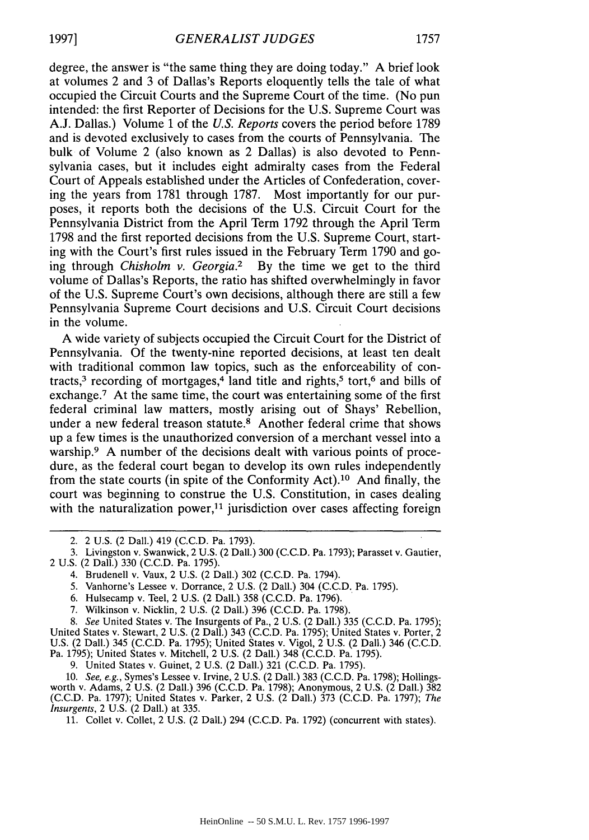degree, the answer is "the same thing they are doing today." A brief look at volumes 2 and 3 of Dallas's Reports eloquently tells the tale of what occupied the Circuit Courts and the Supreme Court of the time. (No pun intended: the first Reporter of Decisions for the U.S. Supreme Court was A.J. Dallas.) Volume 1 of the *U.S. Reports* covers the period before 1789 and is devoted exclusively to cases from the courts of Pennsylvania. The bulk of Volume 2 (also known as 2 Dallas) is also devoted to Pennsylvania cases, but it includes eight admiralty cases from the Federal Court of Appeals established under the Articles of Confederation, covering the years from 1781 through 1787. Most importantly for our purposes, it reports both the decisions of the U.S. Circuit Court for the Pennsylvania District from the April Term 1792 through the April Term 1798 and the first reported decisions from the U.S. Supreme Court, starting with the Court's first rules issued in the February Term 1790 and going through *Chisholm v. Georgia.2* By the time we get to the third volume of Dallas's Reports, the ratio has shifted overwhelmingly in favor of the U.S. Supreme Court's own decisions, although there are still a few Pennsylvania Supreme Court decisions and U.S. Circuit Court decisions in the volume.

A wide variety of subjects occupied the Circuit Court for the District of Pennsylvania. Of the twenty-nine reported decisions, at least ten dealt with traditional common law topics, such as the enforceability of contracts, $3$  recording of mortgages, $4$  land title and rights, $5$  tort, $6$  and bills of exchange.<sup>7</sup> At the same time, the court was entertaining some of the first federal criminal law matters, mostly arising out of Shays' Rebellion, under a new federal treason statute.<sup>8</sup> Another federal crime that shows up a few times is the unauthorized conversion of a merchant vessel into a warship.<sup>9</sup> A number of the decisions dealt with various points of procedure, as the federal court began to develop its own rules independently from the state courts (in spite of the Conformity Act). 10 And finally, the court was beginning to construe the U.S. Constitution, in cases dealing with the naturalization power,<sup>11</sup> jurisdiction over cases affecting foreign

- 4. Brudenell v. Vaux, 2 U.S. (2 Dall.) 302 (C.C.D. Pa. 1794).
- 5. Vanhorne's Lessee v. Dorrance, 2 U.S. (2 Dall.) 304 (C.C.D. Pa. 1795).
- 6. Hulsecamp v. Teel, 2 U.S. (2 Dall.) 358 (C.C.D. Pa. 1796).
- 7. Wilkinson v. Nicklin, 2 U.S. (2 Dall.) 396 (C.C.D. Pa. 1798).

*8. See* United States v. The Insurgents of Pa., 2 U.S. (2 Dall.) 335 (C.C.D. Pa. 1795); United States v. Stewart, 2 U.S. (2 Dall.) 343 (C.C.D. Pa. 1795); United States v. Porter, 2 U.S. (2 Dall.) 345 (C.C.D. Pa. 1795); United States v. Vigol, 2 U.S. (2 Dal].) 346 (C.C.D. Pa. 1795); United States v. Mitchell, 2 U.S. (2 Dall.) 348 (C.C.D. Pa. 1795).

9. United States v. Guinet, 2 U.S. (2 Dall.) 321 (C.C.D. Pa. 1795).

10. *See, e.g.,* Symes's Lessee v. Irvine, 2 U.S. (2 Dall.) 383 (C.C.D. Pa. 1798); Hollingsworth v. Adams, 2 U.S. (2 Dall.) 396 (C.C.D. Pa. 1798); Anonymous, 2 U.S. (2 Dall.) 382 (C.C.D. Pa. 1797); United States v. Parker, 2 U.S. (2 Dall.) 373 (C.C.D. Pa. 1797); *The Insurgents,* 2 U.S. (2 Dall.) at 335.

11. Collet v. Collet, 2 U.S. (2 Dall.) 294 (C.C.D. Pa. 1792) (concurrent with states).

<sup>2. 2</sup> U.S. (2 Dall.) 419 **(C.C.D.** Pa. 1793).

<sup>3.</sup> Livingston v. Swanwick, 2 U.S. (2 Dall.) 300 (C.C.D. Pa. 1793); Parasset v. Gautier, 2 U.S. (2 Dall.) 330 (C.C.D. Pa. 1795).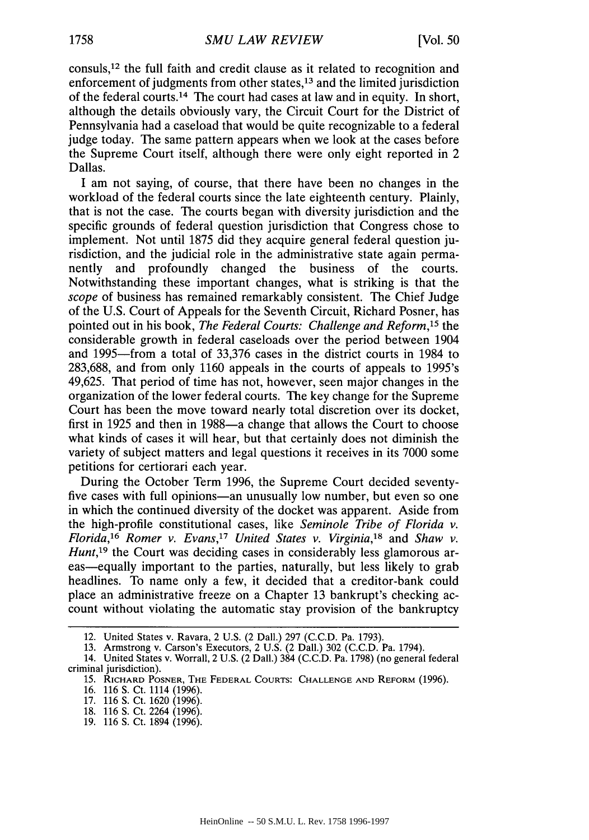consuls,<sup>12</sup> the full faith and credit clause as it related to recognition and enforcement of judgments from other states, 13 and the limited jurisdiction of the federal courts.14 The court had cases at law and in equity. In short, although the details obviously vary, the Circuit Court for the District of Pennsylvania had a caseload that would be quite recognizable to a federal judge today. The same pattern appears when we look at the cases before the Supreme Court itself, although there were only eight reported in 2 Dallas.

I am not saying, of course, that there have been no changes in the workload of the federal courts since the late eighteenth century. Plainly, that is not the case. The courts began with diversity jurisdiction and the specific grounds of federal question jurisdiction that Congress chose to implement. Not until 1875 did they acquire general federal question jurisdiction, and the judicial role in the administrative state again permanently and profoundly changed the business of the courts. Notwithstanding these important changes, what is striking is that the *scope* of business has remained remarkably consistent. The Chief Judge of the U.S. Court of Appeals for the Seventh Circuit, Richard Posner, has pointed out in his book, *The Federal Courts: Challenge and Reform,15* the considerable growth in federal caseloads over the period between 1904 and 1995-from a total of 33,376 cases in the district courts in 1984 to 283,688, and from only 1160 appeals in the courts of appeals to 1995's 49,625. That period of time has not, however, seen major changes in the organization of the lower federal courts. The key change for the Supreme Court has been the move toward nearly total discretion over its docket, first in 1925 and then in 1988—a change that allows the Court to choose what kinds of cases it will hear, but that certainly does not diminish the variety of subject matters and legal questions it receives in its 7000 some petitions for certiorari each year.

During the October Term 1996, the Supreme Court decided seventyfive cases with full opinions—an unusually low number, but even so one in which the continued diversity of the docket was apparent. Aside from the high-profile constitutional cases, like *Seminole Tribe of Florida v. Florida,16 Romer v. Evans,17 United States v. Virginia,18* and *Shaw v. Hunt*,<sup>19</sup> the Court was deciding cases in considerably less glamorous areas—equally important to the parties, naturally, but less likely to grab headlines. To name only a few, it decided that a creditor-bank could place an administrative freeze on a Chapter 13 bankrupt's checking account without violating the automatic stay provision of the bankruptcy

<sup>12.</sup> United States v. Ravara, 2 U.S. (2 Dali.) 297 (C.C.D. Pa. 1793).

<sup>13.</sup> Armstrong v. Carson's Executors, 2 U.S. (2 Dali.) 302 (C.C.D. Pa. 1794).

<sup>14.</sup> United States v. Worrall, 2 U.S. (2 Dali.) 384 (C.C.D. Pa. 1798) (no general federal criminal jurisdiction).

*<sup>15.</sup>* RICHARD POSNER, **THE** FEDERAL **COURTS: CHALLENGE AND** REFORM (1996).

<sup>16.</sup> **116 S.** Ct. 1114 (1996).

<sup>17. 116</sup> **S.** Ct. 1620 (1996).

<sup>18. 116</sup> **S.** Ct. 2264 (1996).

**<sup>19. 116</sup>** S. Ct. 1894 (1996).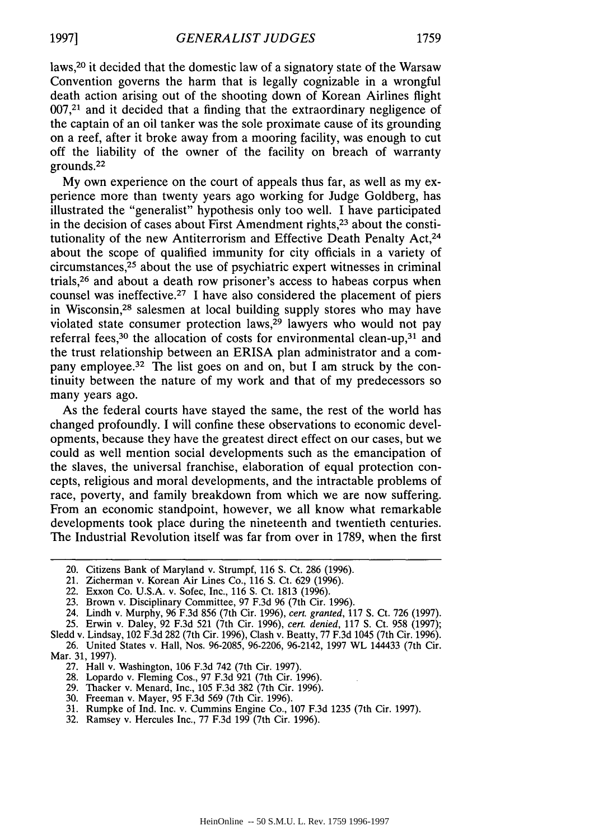laws,20 it decided that the domestic law of a signatory state of the Warsaw Convention governs the harm that is legally cognizable in a wrongful death action arising out of the shooting down of Korean Airlines flight  $007<sup>21</sup>$  and it decided that a finding that the extraordinary negligence of the captain of an oil tanker was the sole proximate cause of its grounding on a reef, after it broke away from a mooring facility, was enough to cut off the liability of the owner of the facility on breach of warranty grounds.<sup>22</sup>

My own experience on the court of appeals thus far, as well as my experience more than twenty years ago working for Judge Goldberg, has illustrated the "generalist" hypothesis only too well. I have participated in the decision of cases about First Amendment rights,23 about the constitutionality of the new Antiterrorism and Effective Death Penalty Act,<sup>24</sup> about the scope of qualified immunity for city officials in a variety of circumstances, 25 about the use of psychiatric expert witnesses in criminal trials,26 and about a death row prisoner's access to habeas corpus when counsel was ineffective.<sup>27</sup> I have also considered the placement of piers in Wisconsin, 28 salesmen at local building supply stores who may have violated state consumer protection laws, $29$  lawyers who would not pay referral fees,  $30$  the allocation of costs for environmental clean-up,  $31$  and the trust relationship between an ERISA plan administrator and a company employee.<sup>32</sup> The list goes on and on, but I am struck by the continuity between the nature of my work and that of my predecessors so many years ago.

As the federal courts have stayed the same, the rest of the world has changed profoundly. I will confine these observations to economic developments, because they have the greatest direct effect on our cases, but we could as well mention social developments such as the emancipation of the slaves, the universal franchise, elaboration of equal protection concepts, religious and moral developments, and the intractable problems of race, poverty, and family breakdown from which we are now suffering. From an economic standpoint, however, we all know what remarkable developments took place during the nineteenth and twentieth centuries. The Industrial Revolution itself was far from over in 1789, when the first

- 20. Citizens Bank of Maryland v. Strumpf, 116 S. Ct. 286 (1996).
- 21. Zicherman v. Korean Air Lines Co., 116 S. Ct. **629** (1996).
- 22. Exxon Co. U.S.A. v. Sofec, Inc., 116 **S.** Ct. 1813 (1996).
- 23. Brown v. Disciplinary Committee, 97 F.3d 96 (7th Cir. 1996).
- 24. Lindh v. Murphy, 96 F.3d 856 (7th Cir. 1996), *cert. granted,* 117 **S.** Ct. 726 (1997).
- 25. Erwin v. Daley, 92 F.3d 521 (7th Cir. 1996), *cert. denied,* 117 **S.** Ct. 958 (1997);

- 27. Hall v. Washington, **106** F.3d 742 (7th Cir. 1997).
- 28. Lopardo v. Fleming Cos., 97 F.3d 921 (7th Cir. 1996).
- 29. Thacker v. Menard, Inc., 105 F.3d 382 (7th Cir. 1996).
- 30. Freeman v. Mayer, 95 F.3d 569 (7th Cir. 1996).
- 31. Rumpke of Ind. Inc. v. Cummins Engine Co., 107 F.3d 1235 (7th Cir. 1997).
- 32. Ramsey v. Hercules Inc., 77 F.3d 199 (7th Cir. 1996).

Sledd v. Lindsay, 102 F.3d 282 (7th Cir. 1996), Clash v. Beatty, 77 F.3d 1045 (7th Cir. 1996). 26. United States v. Hall, Nos. 96-2085, 96-2206, 96-2142, 1997 WL 144433 (7th Cir. Mar. 31, 1997).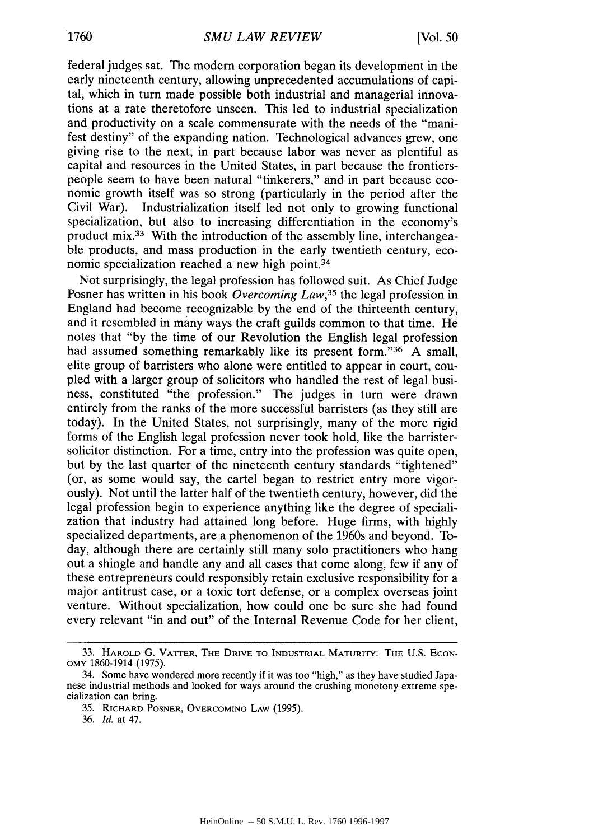federal judges sat. The modern corporation began its development in the early nineteenth century, allowing unprecedented accumulations of capital, which in turn made possible both industrial and managerial innovations at a rate theretofore unseen. This led to industrial specialization and productivity on a scale commensurate with the needs of the "manifest destiny" of the expanding nation. Technological advances grew, one giving rise to the next, in part because labor was never as plentiful as capital and resources in the United States, in part because the frontierspeople seem to have been natural "tinkerers," and in part because economic growth itself was so strong (particularly in the period after the Civil War). Industrialization itself led not only to growing functional specialization, but also to increasing differentiation in the economy's product mix.<sup>33</sup> With the introduction of the assembly line, interchangeable products, and mass production in the early twentieth century, economic specialization reached a new high point.<sup>34</sup>

Not surprisingly, the legal profession has followed suit. As Chief Judge Posner has written in his book *Overcoming Law,35* the legal profession in England had become recognizable by the end of the thirteenth century, and it resembled in many ways the craft guilds common to that time. He notes that "by the time of our Revolution the English legal profession had assumed something remarkably like its present form."<sup>36</sup> A small, elite group of barristers who alone were entitled to appear in court, coupled with a larger group of solicitors who handled the rest of legal business, constituted "the profession." The judges in turn were drawn entirely from the ranks of the more successful barristers (as they still are today). In the United States, not surprisingly, many of the more rigid forms of the English legal profession never took hold, like the barristersolicitor distinction. For a time, entry into the profession was quite open, but by the last quarter of the nineteenth century standards "tightened" (or, as some would say, the cartel began to restrict entry more vigorously). Not until the latter half of the twentieth century, however, did the legal profession begin to experience anything like the degree of specialization that industry had attained long before. Huge firms, with highly specialized departments, are a phenomenon of the 1960s and beyond. Today, although there are certainly still many solo practitioners who hang out a shingle and handle any and all cases that come along, few if any of these entrepreneurs could responsibly retain exclusive responsibility for a major antitrust case, or a toxic tort defense, or a complex overseas joint venture. Without specialization, how could one be sure she had found every relevant "in and out" of the Internal Revenue Code for her client,

<sup>33.</sup> **HAROLD** G. **VATrER, THE DRIVE TO** INDUSTRIAL **MATURITY: THE U.S. ECON-**OMY 1860-1914 (1975).

<sup>34.</sup> Some have wondered more recently if it was too "high," as they have studied Japanese industrial methods and looked for ways around the crushing monotony extreme specialization can bring.

<sup>35.</sup> RICHARD POSNER, OVERCOMING LAW (1995).

<sup>36.</sup> *Id.* at 47.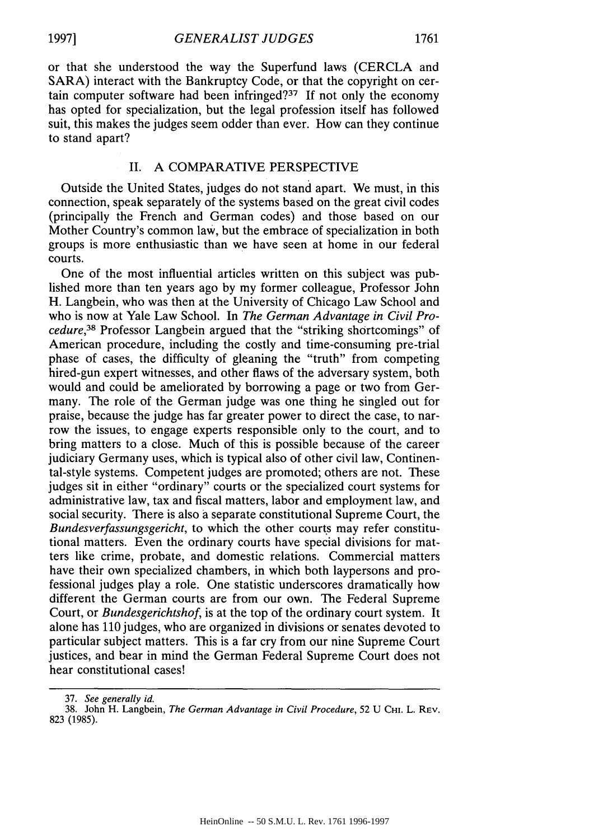or that she understood the way the Superfund laws (CERCLA and SARA) interact with the Bankruptcy Code, or that the copyright on certain computer software had been infringed? $37$  If not only the economy has opted for specialization, but the legal profession itself has followed suit, this makes the judges seem odder than ever. How can they continue to stand apart?

### II. A COMPARATIVE PERSPECTIVE

Outside the United States, judges do not stand apart. We must, in this connection, speak separately of the systems based on the great civil codes (principally the French and German codes) and those based on our Mother Country's common law, but the embrace of specialization in both groups is more enthusiastic than we have seen at home in our federal courts.

One of the most influential articles written on this subject was published more than ten years ago by my former colleague, Professor John H. Langbein, who was then at the University of Chicago Law School and who is now at Yale Law School. In *The German Advantage in Civil Procedure,38* Professor Langbein argued that the "striking shortcomings" of American procedure, including the costly and time-consuming pre-trial phase of cases, the difficulty of gleaning the "truth" from competing hired-gun expert witnesses, and other flaws of the adversary system, both would and could be ameliorated by borrowing a page or two from Germany. The role of the German judge was one thing he singled out for praise, because the judge has far greater power to direct the case, to narrow the issues, to engage experts responsible only to the court, and to bring matters to a close. Much of this is possible because of the career judiciary Germany uses, which is typical also of other civil law, Continental-style systems. Competent judges are promoted; others are not. These judges sit in either "ordinary" courts or the specialized court systems for administrative law, tax and fiscal matters, labor and employment law, and social security. There is also a separate constitutional Supreme Court, the *Bundesverfassungsgericht,* to which the other courts may refer constitutional matters. Even the ordinary courts have special divisions for matters like crime, probate, and domestic relations. Commercial matters have their own specialized chambers, in which both laypersons and professional judges play a role. One statistic underscores dramatically how different the German courts are from our own. The Federal Supreme Court, or *Bundesgerichtshof,* is at the top of the ordinary court system. It alone has 110 judges, who are organized in divisions or senates devoted to particular subject matters. This is a far cry from our nine Supreme Court justices, and bear in mind the German Federal Supreme Court does not hear constitutional cases!

<sup>37.</sup> *See generally id.*

<sup>38.</sup> John H. Langbein, *The German Advantage in Civil Procedure,* 52 U **CHI.** L. REV. 823 (1985).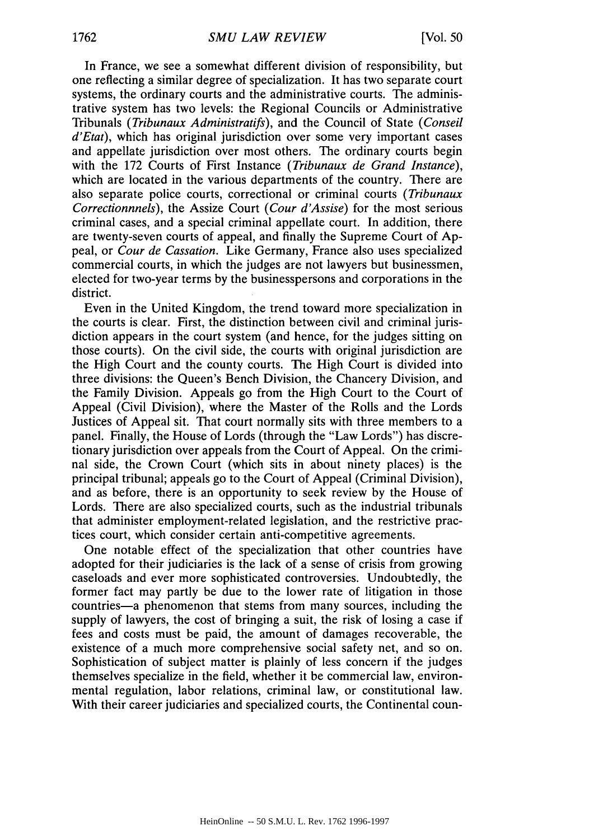In France, we see a somewhat different division of responsibility, but one reflecting a similar degree of specialization. It has two separate court systems, the ordinary courts and the administrative courts. The administrative system has two levels: the Regional Councils or Administrative Tribunals *(Tribunaux Administratifs),* and the Council of State *(Conseil* d'Etat), which has original jurisdiction over some very important cases and appellate jurisdiction over most others. The ordinary courts begin with the 172 Courts of First Instance *(Tribunaux de Grand Instance),* which are located in the various departments of the country. There are also separate police courts, correctional or criminal courts *(Tribunaux Correctionnnels),* the Assize Court *(Cour d'Assise)* for the most serious criminal cases, and a special criminal appellate court. In addition, there are twenty-seven courts of appeal, and finally the Supreme Court of Appeal, or *Cour de Cassation.* Like Germany, France also uses specialized commercial courts, in which the judges are not lawyers but businessmen, elected for two-year terms by the businesspersons and corporations in the district.

Even in the United Kingdom, the trend toward more specialization in the courts is clear. First, the distinction between civil and criminal jurisdiction appears in the court system (and hence, for the judges sitting on those courts). On the civil side, the courts with original jurisdiction are the High Court and the county courts. The High Court is divided into three divisions: the Queen's Bench Division, the Chancery Division, and the Family Division. Appeals go from the High Court to the Court of Appeal (Civil Division), where the Master of the Rolls and the Lords Justices of Appeal sit. That court normally sits with three members to a panel. Finally, the House of Lords (through the "Law Lords") has discretionary jurisdiction over appeals from the Court of Appeal. On the criminal side, the Crown Court (which sits in about ninety places) is the principal tribunal; appeals go to the Court of Appeal (Criminal Division), and as before, there is an opportunity to seek review by the House of Lords. There are also specialized courts, such as the industrial tribunals that administer employment-related legislation, and the restrictive practices court, which consider certain anti-competitive agreements.

One notable effect of the specialization that other countries have adopted for their judiciaries is the lack of a sense of crisis from growing caseloads and ever more sophisticated controversies. Undoubtedly, the former fact may partly be due to the lower rate of litigation in those countries-a phenomenon that stems from many sources, including the supply of lawyers, the cost of bringing a suit, the risk of losing a case if fees and costs must be paid, the amount of damages recoverable, the existence of a much more comprehensive social safety net, and so on. Sophistication of subject matter is plainly of less concern if the judges themselves specialize in the field, whether it be commercial law, environmental regulation, labor relations, criminal law, or constitutional law. With their career judiciaries and specialized courts, the Continental coun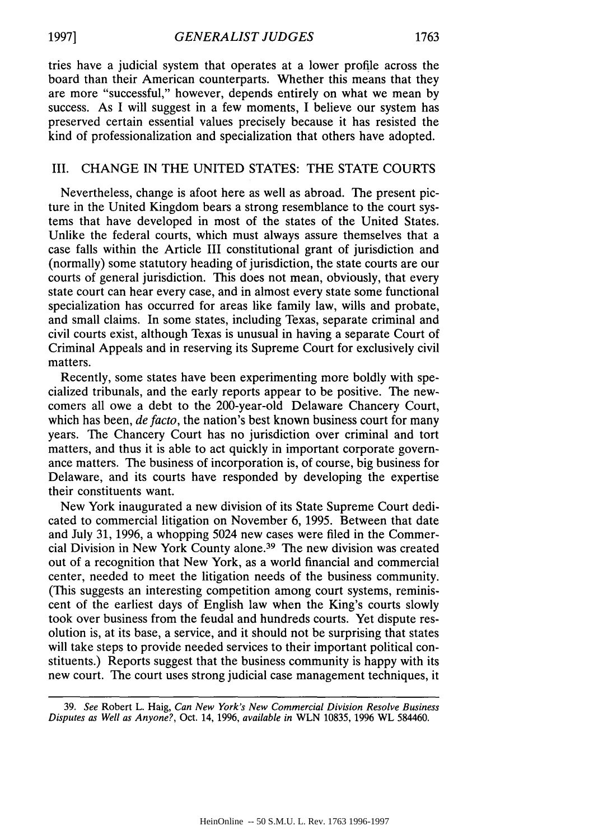tries have a judicial system that operates at a lower profile across the board than their American counterparts. Whether this means that they are more "successful," however, depends entirely on what we mean by success. As I will suggest in a few moments, I believe our system has preserved certain essential values precisely because it has resisted the kind of professionalization and specialization that others have adopted.

#### III. CHANGE IN THE UNITED STATES: THE STATE COURTS

Nevertheless, change is afoot here as well as abroad. The present picture in the United Kingdom bears a strong resemblance to the court systems that have developed in most of the states of the United States. Unlike the federal courts, which must always assure themselves that a case falls within the Article III constitutional grant of jurisdiction and (normally) some statutory heading of jurisdiction, the state courts are our courts of general jurisdiction. This does not mean, obviously, that every state court can hear every case, and in almost every state some functional specialization has occurred for areas like family law, wills and probate, and small claims. In some states, including Texas, separate criminal and civil courts exist, although Texas is unusual in having a separate Court of Criminal Appeals and in reserving its Supreme Court for exclusively civil matters.

Recently, some states have been experimenting more boldly with specialized tribunals, and the early reports appear to be positive. The newcomers all owe a debt to the 200-year-old Delaware Chancery Court, which has been, *de facto*, the nation's best known business court for many years. The Chancery Court has no jurisdiction over criminal and tort matters, and thus it is able to act quickly in important corporate governance matters. The business of incorporation is, of course, big business for Delaware, and its courts have responded by developing the expertise their constituents want.

New York inaugurated a new division of its State Supreme Court dedicated to commercial litigation on November 6, 1995. Between that date and July 31, 1996, a whopping 5024 new cases were filed in the Commercial Division in New York County alone.39 The new division was created out of a recognition that New York, as a world financial and commercial center, needed to meet the litigation needs of the business community. (This suggests an interesting competition among court systems, reminiscent of the earliest days of English law when the King's courts slowly took over business from the feudal and hundreds courts. Yet dispute resolution is, at its base, a service, and it should not be surprising that states will take steps to provide needed services to their important political constituents.) Reports suggest that the business community is happy with its new court. The court uses strong judicial case management techniques, it

39. *See* Robert L. Haig, *Can New York's New Commercial Division Resolve Business Disputes as Well as Anyone?,* Oct. 14, 1996, *available in* WLN 10835, 1996 WL 584460.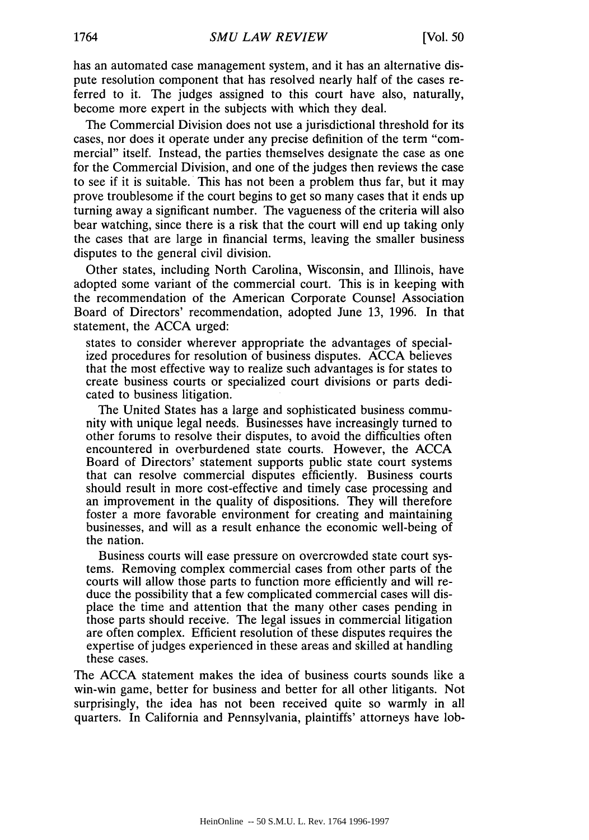has an automated case management system, and it has an alternative dispute resolution component that has resolved nearly half of the cases referred to it. The judges assigned to this court have also, naturally, become more expert in the subjects with which they deal.

The Commercial Division does not use a jurisdictional threshold for its cases, nor does it operate under any precise definition of the term "commercial" itself. Instead, the parties themselves designate the case as one for the Commercial Division, and one of the judges then reviews the case to see if it is suitable. This has not been a problem thus far, but it may prove troublesome if the court begins to get so many cases that it ends up turning away a significant number. The vagueness of the criteria will also bear watching, since there is a risk that the court will end up taking only the cases that are large in financial terms, leaving the smaller business disputes to the general civil division.

Other states, including North Carolina, Wisconsin, and Illinois, have adopted some variant of the commercial court. This is in keeping with the recommendation of the American Corporate Counsel Association Board of Directors' recommendation, adopted June 13, 1996. In that statement, the ACCA urged:

states to consider wherever appropriate the advantages of specialized procedures for resolution of business disputes. ACCA believes that the most effective way to realize such advantages is for states to create business courts or specialized court divisions or parts dedicated to business litigation.

The United States has a large and sophisticated business community with unique legal needs. Businesses have increasingly turned to other forums to resolve their disputes, to avoid the difficulties often encountered in overburdened state courts. However, the ACCA Board of Directors' statement supports public state court systems that can resolve commercial disputes efficiently. Business courts should result in more cost-effective and timely case processing and an improvement in the quality of dispositions. They will therefore foster a more favorable environment for creating and maintaining businesses, and will as a result enhance the economic well-being of the nation.

Business courts will ease pressure on overcrowded state court systems. Removing complex commercial cases from other parts of the courts will allow those parts to function more efficiently and will reduce the possibility that a few complicated commercial cases will displace the time and attention that the many other cases pending in those parts should receive. The legal issues in commercial litigation are often complex. Efficient resolution of these disputes requires the expertise of judges experienced in these areas and skilled at handling these cases.

The ACCA statement makes the idea of business courts sounds like a win-win game, better for business and better for all other litigants. Not surprisingly, the idea has not been received quite so warmly in all quarters. In California and Pennsylvania, plaintiffs' attorneys have lob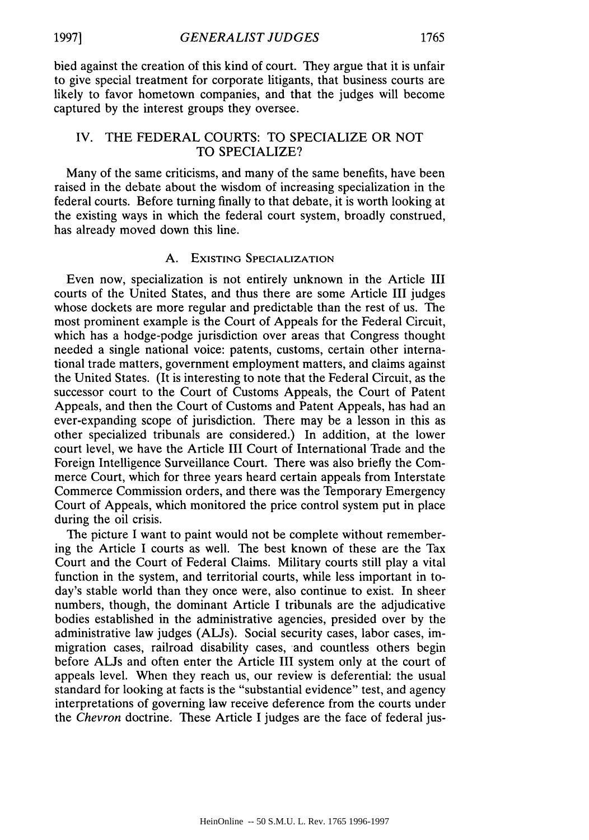bied against the creation of this kind of court. They argue that it is unfair to give special treatment for corporate litigants, that business courts are likely to favor hometown companies, and that the judges will become

## IV. THE FEDERAL COURTS: TO SPECIALIZE OR NOT TO SPECIALIZE?

captured by the interest groups they oversee.

Many of the same criticisms, and many of the same benefits, have been raised in the debate about the wisdom of increasing specialization in the federal courts. Before turning finally to that debate, it is worth looking at the existing ways in which the federal court system, broadly construed, has already moved down this line.

### A. EXISTING SPECIALIZATION

Even now, specialization is not entirely unknown in the Article III courts of the United States, and thus there are some Article III judges whose dockets are more regular and predictable than the rest of us. The most prominent example is the Court of Appeals for the Federal Circuit, which has a hodge-podge jurisdiction over areas that Congress thought needed a single national voice: patents, customs, certain other international trade matters, government employment matters, and claims against the United States. (It is interesting to note that the Federal Circuit, as the successor court to the Court of Customs Appeals, the Court of Patent Appeals, and then the Court of Customs and Patent Appeals, has had an ever-expanding scope of jurisdiction. There may be a lesson in this as other specialized tribunals are considered.) In addition, at the lower court level, we have the Article III Court of International Trade and the Foreign Intelligence Surveillance Court. There was also briefly the Commerce Court, which for three years heard certain appeals from Interstate Commerce Commission orders, and there was the Temporary Emergency Court of Appeals, which monitored the price control system put in place during the oil crisis.

The picture I want to paint would not be complete without remembering the Article I courts as well. The best known of these are the Tax Court and the Court of Federal Claims. Military courts still play a vital function in the system, and territorial courts, while less important in today's stable world than they once were, also continue to exist. In sheer numbers, though, the dominant Article I tribunals are the adjudicative bodies established in the administrative agencies, presided over by the administrative law judges (ALJs). Social security cases, labor cases, immigration cases, railroad disability cases, and countless others begin before ALJs and often enter the Article III system only at the court of appeals level. When they reach us, our review is deferential: the usual standard for looking at facts is the "substantial evidence" test, and agency interpretations of governing law receive deference from the courts under the *Chevron* doctrine. These Article I judges are the face of federal jus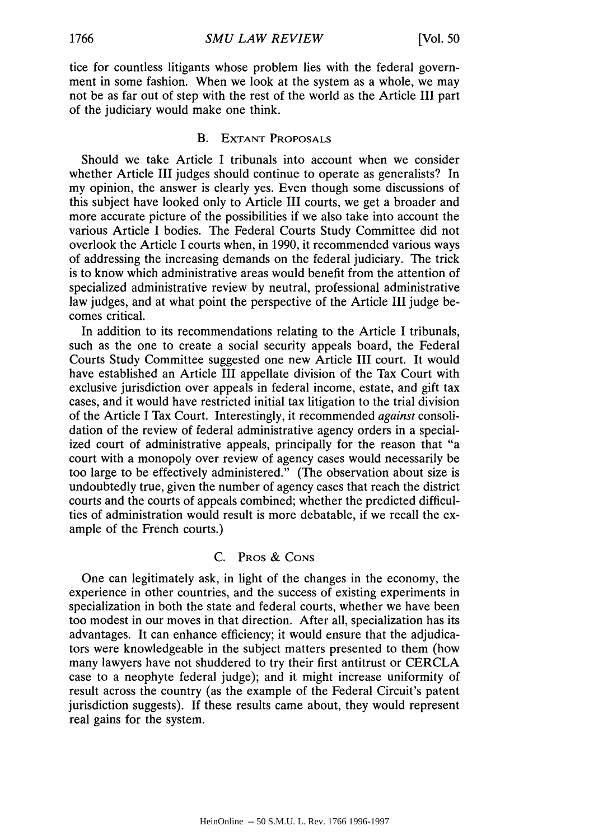tice for countless litigants whose problem lies with the federal government in some fashion. When we look at the system as a whole, we may not be as far out of step with the rest of the world as the Article III part of the judiciary would make one think.

#### B. **EXTANT** PROPOSALS

Should we take Article I tribunals into account when we consider whether Article III judges should continue to operate as generalists? In my opinion, the answer is clearly yes. Even though some discussions of this subject have looked only to Article III courts, we get a broader and more accurate picture of the possibilities if we also take into account the various Article I bodies. The Federal Courts Study Committee did not overlook the Article I courts when, in 1990, it recommended various ways of addressing the increasing demands on the federal judiciary. The trick is to know which administrative areas would benefit from the attention of specialized administrative review by neutral, professional administrative law judges, and at what point the perspective of the Article III judge becomes critical.

In addition to its recommendations relating to the Article I tribunals, such as the one to create a social security appeals board, the Federal Courts Study Committee suggested one new Article III court. It would have established an Article III appellate division of the Tax Court with exclusive jurisdiction over appeals in federal income, estate, and gift tax cases, and it would have restricted initial tax litigation to the trial division of the Article I Tax Court. Interestingly, it recommended *against* consolidation of the review of federal administrative agency orders in a specialized court of administrative appeals, principally for the reason that "a court with a monopoly over review of agency cases would necessarily be too large to be effectively administered." (The observation about size is undoubtedly true, given the number of agency cases that reach the district courts and the courts of appeals combined; whether the predicted difficulties of administration would result is more debatable, if we recall the example of the French courts.)

#### C. PROS & CONS

One can legitimately ask, in light of the changes in the economy, the experience in other countries, and the success of existing experiments in specialization in both the state and federal courts, whether we have been too modest in our moves in that direction. After all, specialization has its advantages. It can enhance efficiency; it would ensure that the adjudicators were knowledgeable in the subject matters presented to them (how many lawyers have not shuddered to try their first antitrust or CERCLA case to a neophyte federal judge); and it might increase uniformity of result across the country (as the example of the Federal Circuit's patent jurisdiction suggests). If these results came about, they would represent real gains for the system.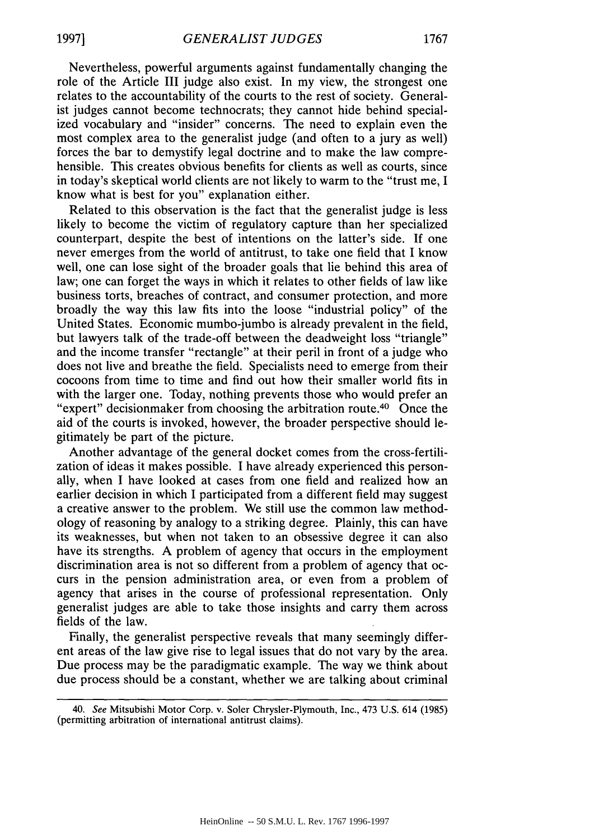Nevertheless, powerful arguments against fundamentally changing the role of the Article III judge also exist. In my view, the strongest one relates to the accountability of the courts to the rest of society. Generalist judges cannot become technocrats; they cannot hide behind specialized vocabulary and "insider" concerns. The need to explain even the most complex area to the generalist judge (and often to a jury as well) forces the bar to demystify legal doctrine and to make the law comprehensible. This creates obvious benefits for clients as well as courts, since in today's skeptical world clients are not likely to warm to the "trust me, I know what is best for you" explanation either.

Related to this observation is the fact that the generalist judge is less likely to become the victim of regulatory capture than her specialized counterpart, despite the best of intentions on the latter's side. If one never emerges from the world of antitrust, to take one field that I know well, one can lose sight of the broader goals that lie behind this area of law; one can forget the ways in which it relates to other fields of law like business torts, breaches of contract, and consumer protection, and more broadly the way this law fits into the loose "industrial policy" of the United States. Economic mumbo-jumbo is already prevalent in the field, but lawyers talk of the trade-off between the deadweight loss "triangle" and the income transfer "rectangle" at their peril in front of a judge who does not live and breathe the field. Specialists need to emerge from their cocoons from time to time and find out how their smaller world fits in with the larger one. Today, nothing prevents those who would prefer an "expert" decisionmaker from choosing the arbitration route.40 Once the aid of the courts is invoked, however, the broader perspective should legitimately be part of the picture.

Another advantage of the general docket comes from the cross-fertilization of ideas it makes possible. I have already experienced this personally, when I have looked at cases from one field and realized how an earlier decision in which I participated from a different field may suggest a creative answer to the problem. We still use the common law methodology of reasoning by analogy to a striking degree. Plainly, this can have its weaknesses, but when not taken to an obsessive degree it can also have its strengths. A problem of agency that occurs in the employment discrimination area is not so different from a problem of agency that occurs in the pension administration area, or even from a problem of agency that arises in the course of professional representation. Only generalist judges are able to take those insights and carry them across fields of the law.

Finally, the generalist perspective reveals that many seemingly different areas of the law give rise to legal issues that do not vary by the area. Due process may be the paradigmatic example. The way we think about due process should be a constant, whether we are talking about criminal

<sup>40.</sup> See Mitsubishi Motor Corp. v. Soler Chrysler-Plymouth, Inc., 473 U.S. 614 (1985) (permitting arbitration of international antitrust claims).